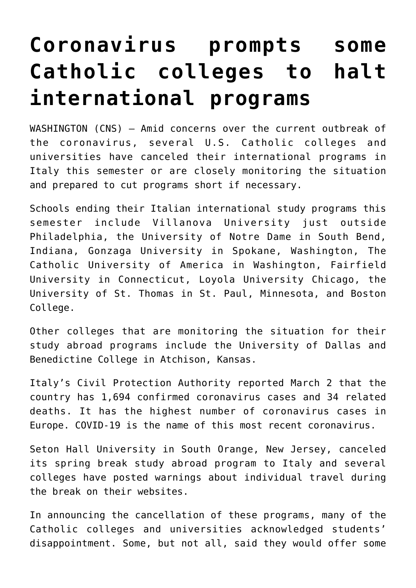## **[Coronavirus prompts some](https://www.osvnews.com/2020/03/03/coronavirus-prompts-some-catholic-colleges-to-halt-international-programs/) [Catholic colleges to halt](https://www.osvnews.com/2020/03/03/coronavirus-prompts-some-catholic-colleges-to-halt-international-programs/) [international programs](https://www.osvnews.com/2020/03/03/coronavirus-prompts-some-catholic-colleges-to-halt-international-programs/)**

WASHINGTON (CNS) — Amid concerns over the current outbreak of the coronavirus, several U.S. Catholic colleges and universities have canceled their international programs in Italy this semester or are closely monitoring the situation and prepared to cut programs short if necessary.

Schools ending their Italian international study programs this semester include Villanova University just outside Philadelphia, the University of Notre Dame in South Bend, Indiana, Gonzaga University in Spokane, Washington, The Catholic University of America in Washington, Fairfield University in Connecticut, Loyola University Chicago, the University of St. Thomas in St. Paul, Minnesota, and Boston College.

Other colleges that are monitoring the situation for their study abroad programs include the University of Dallas and Benedictine College in Atchison, Kansas.

Italy's Civil Protection Authority reported March 2 that the country has 1,694 confirmed coronavirus cases and 34 related deaths. It has the highest number of coronavirus cases in Europe. COVID-19 is the name of this most recent coronavirus.

Seton Hall University in South Orange, New Jersey, canceled its spring break study abroad program to Italy and several colleges have posted warnings about individual travel during the break on their websites.

In announcing the cancellation of these programs, many of the Catholic colleges and universities acknowledged students' disappointment. Some, but not all, said they would offer some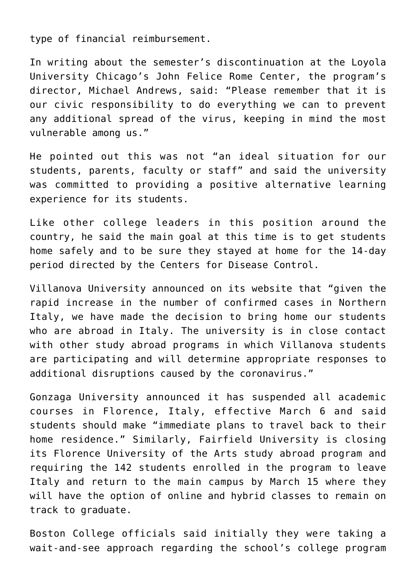type of financial reimbursement.

In writing about the semester's discontinuation at the Loyola University Chicago's John Felice Rome Center, the program's director, Michael Andrews, said: "Please remember that it is our civic responsibility to do everything we can to prevent any additional spread of the virus, keeping in mind the most vulnerable among us."

He pointed out this was not "an ideal situation for our students, parents, faculty or staff" and said the university was committed to providing a positive alternative learning experience for its students.

Like other college leaders in this position around the country, he said the main goal at this time is to get students home safely and to be sure they stayed at home for the 14-day period directed by the Centers for Disease Control.

Villanova University announced on its website that "given the rapid increase in the number of confirmed cases in Northern Italy, we have made the decision to bring home our students who are abroad in Italy. The university is in close contact with other study abroad programs in which Villanova students are participating and will determine appropriate responses to additional disruptions caused by the coronavirus."

Gonzaga University announced it has suspended all academic courses in Florence, Italy, effective March 6 and said students should make "immediate plans to travel back to their home residence." Similarly, Fairfield University is closing its Florence University of the Arts study abroad program and requiring the 142 students enrolled in the program to leave Italy and return to the main campus by March 15 where they will have the option of online and hybrid classes to remain on track to graduate.

Boston College officials said initially they were taking a wait-and-see approach regarding the school's college program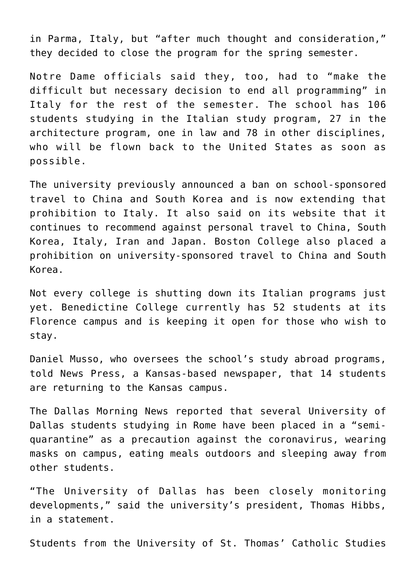in Parma, Italy, but "after much thought and consideration," they decided to close the program for the spring semester.

Notre Dame officials said they, too, had to "make the difficult but necessary decision to end all programming" in Italy for the rest of the semester. The school has 106 students studying in the Italian study program, 27 in the architecture program, one in law and 78 in other disciplines, who will be flown back to the United States as soon as possible.

The university previously announced a ban on school-sponsored travel to China and South Korea and is now extending that prohibition to Italy. It also said on its website that it continues to recommend against personal travel to China, South Korea, Italy, Iran and Japan. Boston College also placed a prohibition on university-sponsored travel to China and South Korea.

Not every college is shutting down its Italian programs just yet. Benedictine College currently has 52 students at its Florence campus and is keeping it open for those who wish to stay.

Daniel Musso, who oversees the school's study abroad programs, told News Press, a Kansas-based newspaper, that 14 students are returning to the Kansas campus.

The Dallas Morning News reported that several University of Dallas students studying in Rome have been placed in a "semiquarantine" as a precaution against the coronavirus, wearing masks on campus, eating meals outdoors and sleeping away from other students.

"The University of Dallas has been closely monitoring developments," said the university's president, Thomas Hibbs, in a statement.

Students from the University of St. Thomas' Catholic Studies